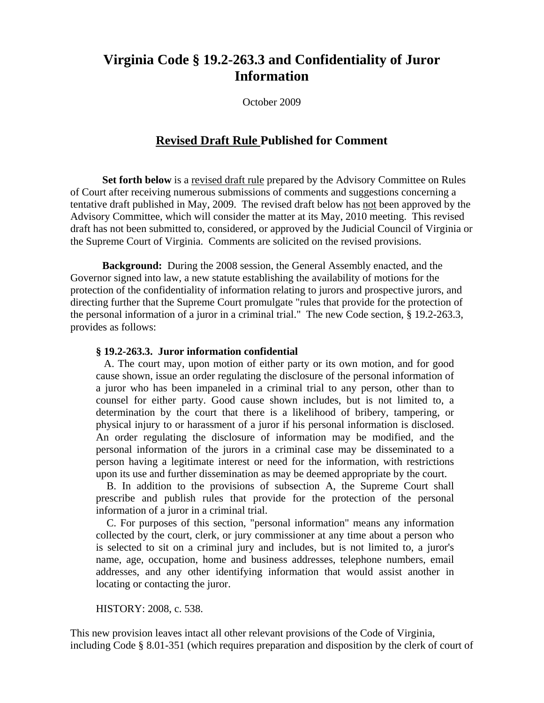# **Virginia Code § 19.2-263.3 and Confidentiality of Juror Information**

October 2009

## **Revised Draft Rule Published for Comment**

**Set forth below** is a revised draft rule prepared by the Advisory Committee on Rules of Court after receiving numerous submissions of comments and suggestions concerning a tentative draft published in May, 2009. The revised draft below has not been approved by the Advisory Committee, which will consider the matter at its May, 2010 meeting. This revised draft has not been submitted to, considered, or approved by the Judicial Council of Virginia or the Supreme Court of Virginia. Comments are solicited on the revised provisions.

**Background:** During the 2008 session, the General Assembly enacted, and the Governor signed into law, a new statute establishing the availability of motions for the protection of the confidentiality of information relating to jurors and prospective jurors, and directing further that the Supreme Court promulgate "rules that provide for the protection of the personal information of a juror in a criminal trial." The new Code section, § 19.2-263.3, provides as follows:

## **§ 19.2-263.3. Juror information confidential**

 A. The court may, upon motion of either party or its own motion, and for good cause shown, issue an order regulating the disclosure of the personal information of a juror who has been impaneled in a criminal trial to any person, other than to counsel for either party. Good cause shown includes, but is not limited to, a determination by the court that there is a likelihood of bribery, tampering, or physical injury to or harassment of a juror if his personal information is disclosed. An order regulating the disclosure of information may be modified, and the personal information of the jurors in a criminal case may be disseminated to a person having a legitimate interest or need for the information, with restrictions upon its use and further dissemination as may be deemed appropriate by the court.

 B. In addition to the provisions of subsection A, the Supreme Court shall prescribe and publish rules that provide for the protection of the personal information of a juror in a criminal trial.

 C. For purposes of this section, "personal information" means any information collected by the court, clerk, or jury commissioner at any time about a person who is selected to sit on a criminal jury and includes, but is not limited to, a juror's name, age, occupation, home and business addresses, telephone numbers, email addresses, and any other identifying information that would assist another in locating or contacting the juror.

HISTORY: 2008, c. 538.

This new provision leaves intact all other relevant provisions of the Code of Virginia, including Code § 8.01-351 (which requires preparation and disposition by the clerk of court of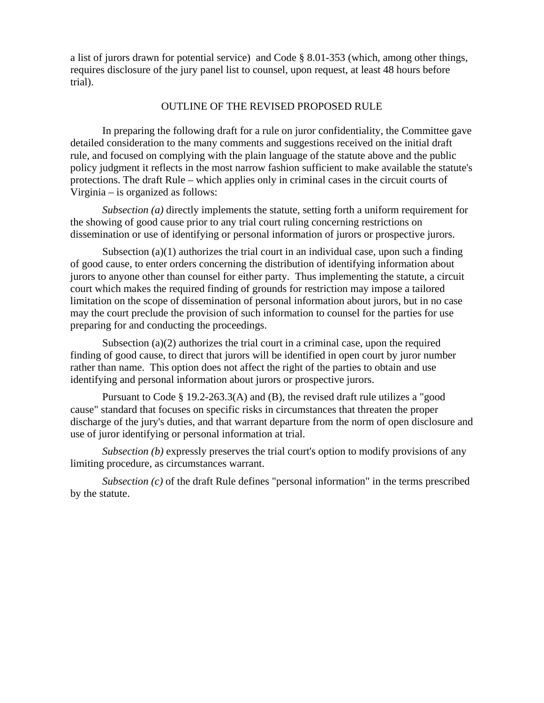a list of jurors drawn for potential service) and Code § 8.01-353 (which, among other things, requires disclosure of the jury panel list to counsel, upon request, at least 48 hours before trial).

## OUTLINE OF THE REVISED PROPOSED RULE

In preparing the following draft for a rule on juror confidentiality, the Committee gave detailed consideration to the many comments and suggestions received on the initial draft rule, and focused on complying with the plain language of the statute above and the public policy judgment it reflects in the most narrow fashion sufficient to make available the statute's protections. The draft Rule – which applies only in criminal cases in the circuit courts of Virginia – is organized as follows:

*Subsection (a)* directly implements the statute, setting forth a uniform requirement for the showing of good cause prior to any trial court ruling concerning restrictions on dissemination or use of identifying or personal information of jurors or prospective jurors.

Subsection  $(a)(1)$  authorizes the trial court in an individual case, upon such a finding of good cause, to enter orders concerning the distribution of identifying information about jurors to anyone other than counsel for either party. Thus implementing the statute, a circuit court which makes the required finding of grounds for restriction may impose a tailored limitation on the scope of dissemination of personal information about jurors, but in no case may the court preclude the provision of such information to counsel for the parties for use preparing for and conducting the proceedings.

Subsection  $(a)(2)$  authorizes the trial court in a criminal case, upon the required finding of good cause, to direct that jurors will be identified in open court by juror number rather than name. This option does not affect the right of the parties to obtain and use identifying and personal information about jurors or prospective jurors.

Pursuant to Code § 19.2-263.3(A) and (B), the revised draft rule utilizes a "good cause" standard that focuses on specific risks in circumstances that threaten the proper discharge of the jury's duties, and that warrant departure from the norm of open disclosure and use of juror identifying or personal information at trial.

*Subsection (b)* expressly preserves the trial court's option to modify provisions of any limiting procedure, as circumstances warrant.

*Subsection (c)* of the draft Rule defines "personal information" in the terms prescribed by the statute.